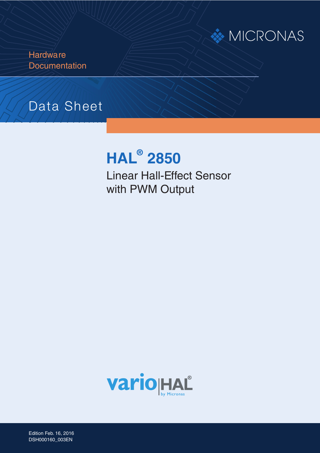

**Hardware Documentation** 

## Data Sheet

# **HAL® 2850**

Linear Hall-Effect Sensor with PWM Output



Edition Feb. 16, 2016 DSH000160\_003EN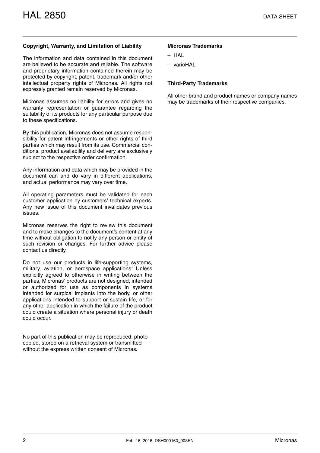#### **Copyright, Warranty, and Limitation of Liability**

The information and data contained in this document are believed to be accurate and reliable. The software and proprietary information contained therein may be protected by copyright, patent, trademark and/or other intellectual property rights of Micronas. All rights not expressly granted remain reserved by Micronas.

Micronas assumes no liability for errors and gives no warranty representation or guarantee regarding the suitability of its products for any particular purpose due to these specifications.

By this publication, Micronas does not assume responsibility for patent infringements or other rights of third parties which may result from its use. Commercial conditions, product availability and delivery are exclusively subject to the respective order confirmation.

Any information and data which may be provided in the document can and do vary in different applications, and actual performance may vary over time.

All operating parameters must be validated for each customer application by customers' technical experts. Any new issue of this document invalidates previous issues.

Micronas reserves the right to review this document and to make changes to the document's content at any time without obligation to notify any person or entity of such revision or changes. For further advice please contact us directly.

Do not use our products in life-supporting systems, military, aviation, or aerospace applications! Unless explicitly agreed to otherwise in writing between the parties, Micronas' products are not designed, intended or authorized for use as components in systems intended for surgical implants into the body, or other applications intended to support or sustain life, or for any other application in which the failure of the product could create a situation where personal injury or death could occur.

No part of this publication may be reproduced, photocopied, stored on a retrieval system or transmitted without the express written consent of Micronas.

#### **Micronas Trademarks**

- $-$  HAI
- varioHAL

#### **Third-Party Trademarks**

All other brand and product names or company names may be trademarks of their respective companies.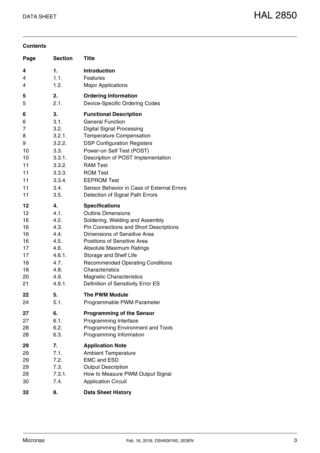## **Contents**

| Page | <b>Section</b> | Title                                      |
|------|----------------|--------------------------------------------|
| 4    | 1.             | <b>Introduction</b>                        |
| 4    | 1.1.           | Features                                   |
| 4    | 1.2.           | <b>Major Applications</b>                  |
| 5    | 2.             | <b>Ordering Information</b>                |
| 5    | 2.1.           | Device-Specific Ordering Codes             |
| 6    | 3.             | <b>Functional Description</b>              |
| 6    | 3.1.           | <b>General Function</b>                    |
| 7    | 3.2.           | <b>Digital Signal Processing</b>           |
| 8    | 3.2.1.         | <b>Temperature Compensation</b>            |
| 9    | 3.2.2.         | <b>DSP Configuration Registers</b>         |
| 10   | 3.3.           | Power-on Self Test (POST)                  |
| 10   | 3.3.1.         | Description of POST Implementation         |
| 11   | 3.3.2.         | <b>RAM Test</b>                            |
| 11   | 3.3.3.         | <b>ROM Test</b>                            |
| 11   | 3.3.4.         | <b>EEPROM Test</b>                         |
| 11   | 3.4.           | Sensor Behavior in Case of External Errors |
| 11   | 3.5.           | Detection of Signal Path Errors            |
| 12   | 4.             | <b>Specifications</b>                      |
| 12   | 4.1.           | <b>Outline Dimensions</b>                  |
| 16   | 4.2.           | Soldering, Welding and Assembly            |
| 16   | 4.3.           | Pin Connections and Short Descriptions     |
| 16   | 4.4.           | Dimensions of Sensitive Area               |
| 16   | 4.5.           | Positions of Sensitive Area                |
| 17   | 4.6.           | <b>Absolute Maximum Ratings</b>            |
| 17   | 4.6.1.         | Storage and Shelf Life                     |
| 18   | 4.7.           | <b>Recommended Operating Conditions</b>    |
| 18   | 4.8.           | Characteristics                            |
| 20   | 4.9.           | <b>Magnetic Characteristics</b>            |
| 21   | 4.9.1.         | Definition of Sensitivity Error ES         |
| 22   | 5.             | <b>The PWM Module</b>                      |
| 24   | 5.1.           | Programmable PWM Parameter                 |
| 27   | 6.             | <b>Programming of the Sensor</b>           |
| 27   | 6.1.           | Programming Interface                      |
| 28   | 6.2.           | Programming Environment and Tools          |
| 28   | 6.3.           | Programming Information                    |
| 29   | 7.             | <b>Application Note</b>                    |
| 29   | 7.1.           | <b>Ambient Temperature</b>                 |
| 29   | 7.2.           | <b>EMC and ESD</b>                         |
| 29   | 7.3.           | <b>Output Description</b>                  |
| 29   | 7.3.1.         | How to Measure PWM Output Signal           |
| 30   | 7.4.           | <b>Application Circuit</b>                 |
| 32   | 8.             | <b>Data Sheet History</b>                  |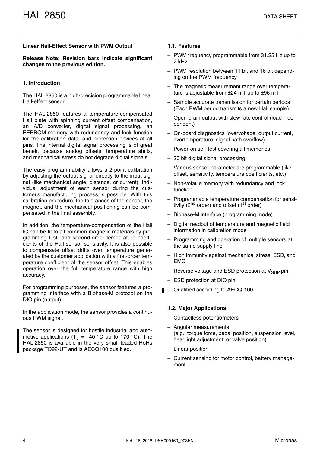#### **[Linear Hall-Effect Sensor with PWM Output](#page--1-1)**

#### **Release Note: Revision bars indicate significant changes to the previous edition.**

#### <span id="page-3-0"></span>**1. Introduction**

The HAL 2850 is a high-precision programmable linear Hall-effect sensor.

The HAL 2850 features a temperature-compensated Hall plate with spinning current offset compensation, an A/D converter, digital signal processing, an EEPROM memory with redundancy and lock function for the calibration data, and protection devices at all pins. The internal digital signal processing is of great benefit because analog offsets, temperature shifts, and mechanical stress do not degrade digital signals.

The easy programmability allows a 2-point calibration by adjusting the output signal directly to the input signal (like mechanical angle, distance, or current). Individual adjustment of each sensor during the customer's manufacturing process is possible. With this calibration procedure, the tolerances of the sensor, the magnet, and the mechanical positioning can be compensated in the final assembly.

In addition, the temperature-compensation of the Hall IC can be fit to all common magnetic materials by programming first- and second-order temperature coefficients of the Hall sensor sensitivity. It is also possible to compensate offset drifts over temperature generated by the customer application with a first-order temperature coefficient of the sensor offset. This enables operation over the full temperature range with high accuracy.

For programming purposes, the sensor features a programming interface with a Biphase-M protocol on the DIO pin (output).

In the application mode, the sensor provides a continuous PWM signal.

The sensor is designed for hostile industrial and automotive applications (T<sub>J</sub> = -40 °C up to 170 °C). The HAL 2850 is available in the very small leaded RoHs package TO92-UT and is AECQ100 qualified.

#### <span id="page-3-1"></span>**1.1. Features**

- PWM frequency programmable from 31.25 Hz up to 2 kHz
- PWM resolution between 11 bit and 16 bit depending on the PWM frequency
- The magnetic measurement range over temperature is adjustable from  $\pm 24$  mT up to  $\pm 96$  mT
- Sample accurate transmission for certain periods (Each PWM period transmits a new Hall sample)
- Open-drain output with slew rate control (load independent)
- On-board diagnostics (overvoltage, output current, overtemperature, signal path overflow)
- Power-on self-test covering all memories
- 20 bit digital signal processing
- Various sensor parameter are programmable (like offset, sensitivity, temperature coefficients, etc.)
- Non-volatile memory with redundancy and lock function
- Programmable temperature compensation for sensitivity (2<sup>nd</sup> order) and offset (1<sup>st</sup> order)
- Biphase-M interface (programming mode)
- Digital readout of temperature and magnetic field information in calibration mode
- Programming and operation of multiple sensors at the same supply line
- High immunity against mechanical stress, ESD, and EMC
- Reverse voltage and ESD protection at  $V_{SUP}$  pin
- ESD protection at DIO pin
- Qualified according to AECQ-100

#### <span id="page-3-2"></span>**1.2. Major Applications**

- Contactless potentiometers
- Angular measurements (e.g.; torque force, pedal position, suspension level, headlight adjustment; or valve position)
- Linear position
- Current sensing for motor control, battery management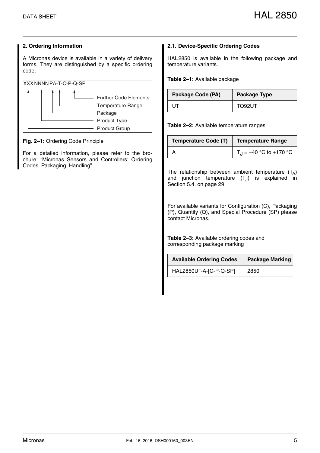## <span id="page-4-0"></span>**2. Ordering Information**

A Micronas device is available in a variety of delivery forms. They are distinguished by a specific ordering code:



**Fig. 2–1:** Ordering Code Principle

For a detailed information, please refer to the brochure: "Micronas Sensors and Controllers: Ordering Codes, Packaging, Handling".

## <span id="page-4-1"></span>**2.1. Device-Specific Ordering Codes**

HAL2850 is available in the following package and temperature variants.

**Table 2–1:** Available package

| Package Code (PA) | <b>Package Type</b> |
|-------------------|---------------------|
| HТ                | TO92UT              |

**Table 2–2:** Available temperature ranges

| <b>Temperature Code (T)</b> | <b>Temperature Range</b>           |
|-----------------------------|------------------------------------|
|                             | $T_{\text{H}} = -40$ °C to +170 °C |

The relationship between ambient temperature  $(T_A)$ and junction temperature  $(T<sub>1</sub>)$  is explained in Section 5.4. on page 29.

For available variants for Configuration (C), Packaging (P), Quantity (Q), and Special Procedure (SP) please contact Micronas.

**Table 2–3:** Available ordering codes and corresponding package marking

| <b>Available Ordering Codes</b> | <b>Package Marking</b> |
|---------------------------------|------------------------|
| HAL2850UT-A-[C-P-Q-SP]          | 2850                   |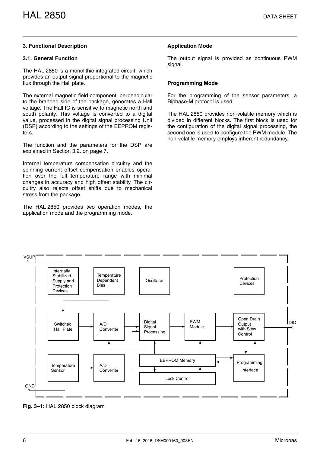## <span id="page-5-0"></span>**3. Functional Description**

## <span id="page-5-1"></span>**3.1. General Function**

The HAL 2850 is a monolithic integrated circuit, which provides an output signal proportional to the magnetic flux through the Hall plate.

The external magnetic field component, perpendicular to the branded side of the package, generates a Hall voltage. The Hall IC is sensitive to magnetic north and south polarity. This voltage is converted to a digital value, processed in the digital signal processing Unit (DSP) according to the settings of the EEPROM registers.

The function and the parameters for the DSP are explained in [Section 3.2. on page 7](#page-6-0).

Internal temperature compensation circuitry and the spinning current offset compensation enables operation over the full temperature range with minimal changes in accuracy and high offset stability. The circuitry also rejects offset shifts due to mechanical stress from the package.

The HAL 2850 provides two operation modes, the application mode and the programming mode.

## **Application Mode**

The output signal is provided as continuous PWM signal.

## **Programming Mode**

For the programming of the sensor parameters, a Biphase-M protocol is used.

The HAL 2850 provides non-volatile memory which is divided in different blocks. The first block is used for the configuration of the digital signal processing, the second one is used to configure the PWM module. The non-volatile memory employs inherent redundancy.



**Fig. 3–1:** HAL 2850 block diagram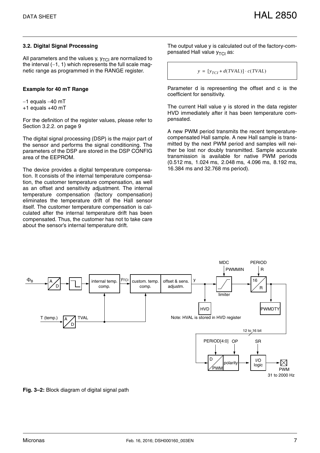## <span id="page-6-0"></span>**3.2. Digital Signal Processing**

All parameters and the values y,  $y_{TC}$  are normalized to the interval  $(-1, 1)$  which represents the full scale magnetic range as programmed in the RANGE register.

#### **Example for 40 mT Range**

 $-1$  equals  $-40$  mT

+1 equals +40 mT

For the definition of the register values, please refer to [Section 3.2.2. on page 9](#page-8-0)

The digital signal processing (DSP) is the major part of the sensor and performs the signal conditioning. The parameters of the DSP are stored in the DSP CONFIG area of the EEPROM.

The device provides a digital temperature compensation. It consists of the internal temperature compensation, the customer temperature compensation, as well as an offset and sensitivity adjustment. The internal temperature compensation (factory compensation) eliminates the temperature drift of the Hall sensor itself. The customer temperature compensation is calculated after the internal temperature drift has been compensated. Thus, the customer has not to take care about the sensor's internal temperature drift.

The output value y is calculated out of the factory-compensated Hall value  $y_{TCI}$  as:

$$
y = [y_{TCI} + d(TVAL)] \cdot c(TVAL)
$$

Parameter d is representing the offset and c is the coefficient for sensitivity.

The current Hall value y is stored in the data register HVD immediately after it has been temperature compensated.

A new PWM period transmits the recent temperaturecompensated Hall sample. A new Hall sample is transmitted by the next PWM period and samples will neither be lost nor doubly transmitted. Sample accurate transmission is available for native PWM periods (0.512 ms, 1.024 ms, 2.048 ms, 4.096 ms, 8.192 ms, 16.384 ms and 32.768 ms period).



**Fig. 3–2:** Block diagram of digital signal path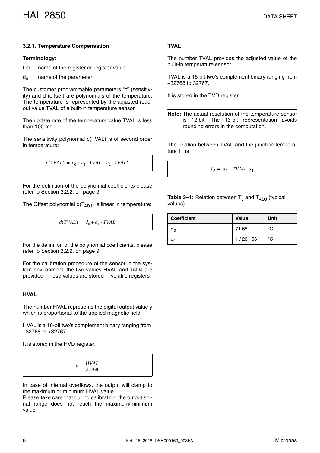#### <span id="page-7-0"></span>**3.2.1. Temperature Compensation**

## **Terminology:**

- D0: name of the register or register value
- $d_0$ : name of the parameter

The customer programmable parameters "c" (sensitivity) and d (offset) are polynomials of the temperature. The temperature is represented by the adjusted readout value TVAL of a built-in temperature sensor.

The update rate of the temperature value TVAL is less than  $100$  ms.

The sensitivity polynomial c(TVAL) is of second order in temperature:

```
c(TVAL) = c_0 + c_1 \cdot TVAL + c_2 \cdot TVAL^2
```
For the definition of the polynomial coefficients please refer to [Section 3.2.2. on page 9.](#page-8-0)

The Offset polynomial  $d(T_{AD,I})$  is linear in temperature:

$$
d(TVAL) = d_0 + d_1 \cdot TVAL
$$

For the definition of the polynomial coefficients, please refer to [Section 3.2.2. on page 9.](#page-8-0)

For the calibration procedure of the sensor in the system environment, the two values HVAL and TADJ are provided. These values are stored in volatile registers.

#### **HVAL**

The number HVAL represents the digital output value y which is proportional to the applied magnetic field.

HVAL is a 16-bit two's complement binary ranging from  $-32768$  to  $+32767$ .

It is stored in the HVD register.

$$
y = \frac{HVAL}{32768}
$$

In case of internal overflows, the output will clamp to the maximum or minimum HVAL value.

Please take care that during calibration, the output signal range does not reach the maximum/minimum value.

## **TVAL**

The number TVAL provides the adjusted value of the built-in temperature sensor.

TVAL is a 16-bit two's complement binary ranging from 32768 to 32767.

It is stored in the TVD register.

**Note:** The actual resolution of the temperature sensor is 12 bit. The 16-bit representation avoids rounding errors in the computation.

The relation between TVAL and the junction temperature  $T<sub>1</sub>$  is

#### $T_J = \alpha_0 + TVAL \cdot \alpha_1$

|         | Table 3-1: Relation between T <sub>J</sub> and T <sub>ADJ</sub> (typical |  |  |
|---------|--------------------------------------------------------------------------|--|--|
| values) |                                                                          |  |  |

| <b>Coefficient</b> | <b>Value</b> | Unit |
|--------------------|--------------|------|
| $\alpha_0$         | 71.65        | °∩   |
| $\alpha$           | 1/231.56     | °∩   |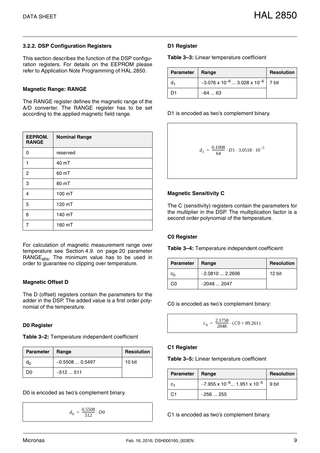## <span id="page-8-0"></span>**3.2.2. DSP Configuration Registers**

This section describes the function of the DSP configuration registers. For details on the EEPROM please refer to Application Note Programming of HAL 2850.

## **Magnetic Range: RANGE**

The RANGE register defines the magnetic range of the A/D converter. The RANGE register has to be set according to the applied magnetic field range.

| EEPROM.<br><b>RANGE</b> | <b>Nominal Range</b> |
|-------------------------|----------------------|
| $\Omega$                | reserved             |
| 1                       | 40 mT                |
| $\overline{c}$          | 60 mT                |
| 3                       | 80 mT                |
| $\overline{4}$          | 100 mT               |
| 5                       | 120 mT               |
| 6                       | 140 mT               |
| $\overline{7}$          | 160 mT               |

For calculation of magnetic measurement range over temperature [see Section 4.9. on page 20](#page-19-1) parameter  $RANGE<sub>abs</sub>$ . The minimum value has to be used in order to guarantee no clipping over temperature.

## **Magnetic Offset D**

The D (offset) registers contain the parameters for the adder in the DSP. The added value is a first order polynomial of the temperature.

## **D0 Register**

**Table 3–2:** Temperature independent coefficient

| <b>Parameter</b> | Range           | <b>Resolution</b> |
|------------------|-----------------|-------------------|
|                  | $-0.55080.5497$ | 10 bit            |
| חר               | $-512511$       |                   |

D0 is encoded as two's complement binary.

$$
d_0 = \frac{0.5508}{512} \cdot D0
$$

## **D1 Register**

**Table 3–3:** Linear temperature coefficient

| Parameter   Range |                                                        | <b>Resolution</b> |
|-------------------|--------------------------------------------------------|-------------------|
|                   | $-3.076 \times 10^{-6}$ 3.028 x 10 <sup>-6</sup> 7 bit |                   |
|                   | $-6463$                                                |                   |

D1 is encoded as two's complement binary.

$$
d_1 = \frac{0.1008}{64} \cdot D1 \cdot 3.0518 \cdot 10^{-5}
$$

## **Magnetic Sensitivity C**

The C (sensitivity) registers contain the parameters for the multiplier in the DSP. The multiplication factor is a second order polynomial of the temperature.

## **C0 Register**

**Table 3–4:** Temperature independent coefficient

| <b>Parameter</b> | Range            | <b>Resolution</b> |
|------------------|------------------|-------------------|
|                  | $-2.0810$ 2.2696 | $12$ bit          |
| C٥               | $-20482047$      |                   |

C0 is encoded as two's complement binary:

$$
c_0 = \frac{2.1758}{2048} \cdot (C0 + 89.261)
$$

## **C1 Register**

## **Table 3–5:** Linear temperature coefficient

| <b>Parameter</b> | Range                                            | <b>Resolution</b> |
|------------------|--------------------------------------------------|-------------------|
|                  | $-7.955 \times 10^{-6}$ 1.951 x 10 <sup>-5</sup> | 9 bit             |
|                  | $-256255$                                        |                   |

C1 is encoded as two's complement binary.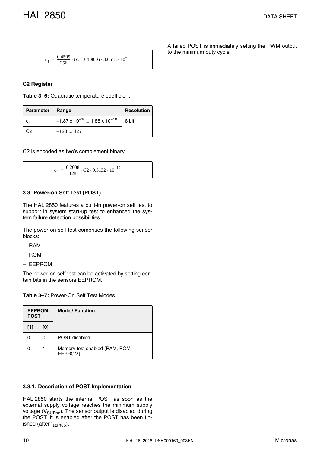[HAL 2850](#page--1-0) DATA SHEET

$$
c_1 = \frac{0.4509}{256} \cdot (C1 + 108.0) \cdot 3.0518 \cdot 10^{-5}
$$

## **C2 Register**

**Table 3–6:** Quadratic temperature coefficient

| <b>Parameter</b> | Range                                            | <b>Resolution</b> |
|------------------|--------------------------------------------------|-------------------|
| C۰               | $-1.87 \times 10^{-10}$ 1.86 x 10 <sup>-10</sup> | 8 bit             |
| C.2              | $-128127$                                        |                   |

C2 is encoded as two's complement binary.

```
c_2 = \frac{0.2008}{128}=\frac{0.2008}{128}\cdot C2\cdot 9.3132\cdot 10^{-10}
```
## <span id="page-9-0"></span>**3.3. Power-on Self Test (POST)**

The HAL 2850 features a built-in power-on self test to support in system start-up test to enhanced the system failure detection possibilities.

The power-on self test comprises the following sensor blocks:

- RAM
- ROM
- EEPROM

The power-on self test can be activated by setting certain bits in the sensors EEPROM.

**Table 3–7:** Power-On Self Test Modes

| EEPROM.<br><b>POST</b> |     | <b>Mode / Function</b>                     |
|------------------------|-----|--------------------------------------------|
| [1]                    | [0] |                                            |
|                        | 0   | POST disabled.                             |
|                        |     | Memory test enabled (RAM, ROM,<br>EEPROM). |

## <span id="page-9-1"></span>**3.3.1. Description of POST Implementation**

HAL 2850 starts the internal POST as soon as the external supply voltage reaches the minimum supply voltage (V<sub>SUPon</sub>). The sensor output is disabled during the POST. It is enabled after the POST has been finished (after t<sub>startup</sub>).

A failed POST is immediately setting the PWM output to the minimum duty cycle.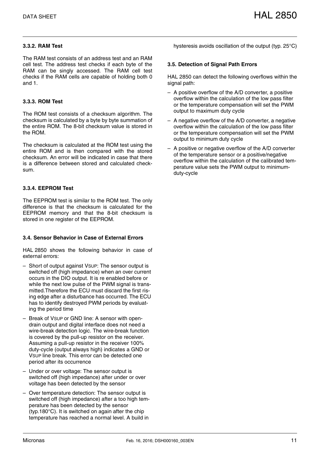## <span id="page-10-0"></span>**3.3.2. RAM Test**

The RAM test consists of an address test and an RAM cell test. The address test checks if each byte of the RAM can be singly accessed. The RAM cell test checks if the RAM cells are capable of holding both 0 and 1.

## <span id="page-10-1"></span>**3.3.3. ROM Test**

The ROM test consists of a checksum algorithm. The checksum is calculated by a byte by byte summation of the entire ROM. The 8-bit checksum value is stored in the ROM.

The checksum is calculated at the ROM test using the entire ROM and is then compared with the stored checksum. An error will be indicated in case that there is a difference between stored and calculated checksum.

## <span id="page-10-2"></span>**3.3.4. EEPROM Test**

The EEPROM test is similar to the ROM test. The only difference is that the checksum is calculated for the EEPROM memory and that the 8-bit checksum is stored in one register of the EEPROM.

## <span id="page-10-3"></span>**3.4. Sensor Behavior in Case of External Errors**

HAL 2850 shows the following behavior in case of external errors:

- Short of output against VSUP: The sensor output is switched off (high impedance) when an over current occurs in the DIO output. It is re enabled before or while the next low pulse of the PWM signal is transmitted.Therefore the ECU must discard the first rising edge after a disturbance has occurred. The ECU has to identify destroyed PWM periods by evaluating the period time
- Break of VSUP or GND line: A sensor with opendrain output and digital interface does not need a wire-break detection logic. The wire-break function is covered by the pull-up resistor on the receiver. Assuming a pull-up resistor in the receiver 100% duty-cycle (output always high) indicates a GND or VSUP line break. This error can be detected one period after its occurrence
- Under or over voltage: The sensor output is switched off (high impedance) after under or over voltage has been detected by the sensor
- Over temperature detection: The sensor output is switched off (high impedance) after a too high temperature has been detected by the sensor (typ.180°C). It is switched on again after the chip temperature has reached a normal level. A build in

hysteresis avoids oscillation of the output (typ. 25°C)

#### <span id="page-10-4"></span>**3.5. Detection of Signal Path Errors**

HAL 2850 can detect the following overflows within the signal path:

- A positive overflow of the A/D converter, a positive overflow within the calculation of the low pass filter or the temperature compensation will set the PWM output to maximum duty cycle
- A negative overflow of the A/D converter, a negative overflow within the calculation of the low pass filter or the temperature compensation will set the PWM output to minimum duty cycle
- A positive or negative overflow of the A/D converter of the temperature sensor or a positive/negative overflow within the calculation of the calibrated temperature value sets the PWM output to minimumduty-cycle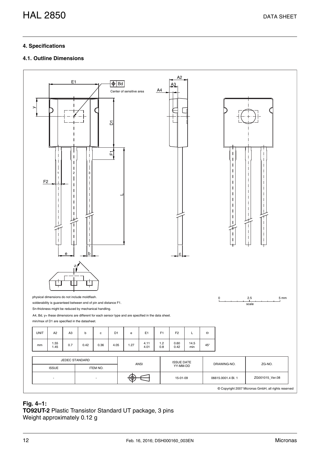## <span id="page-11-0"></span>**4. Specifications**

## <span id="page-11-1"></span>**4.1. Outline Dimensions**



## **Fig. 4–1:**

**TO92UT-2** Plastic Transistor Standard UT package, 3 pins Weight approximately 0.12 g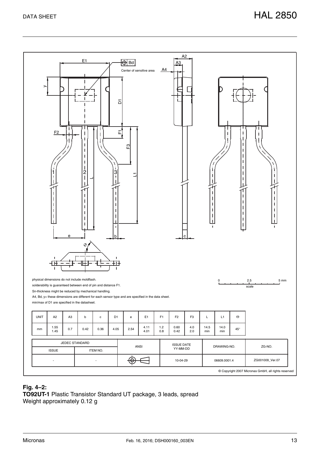

## **Fig. 4–2:**

**TO92UT-1** Plastic Transistor Standard UT package, 3 leads, spread Weight approximately 0.12 g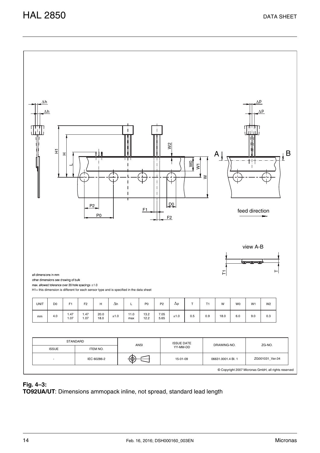

## **Fig. 4–3:**

**TO92UA/UT**: Dimensions ammopack inline, not spread, standard lead length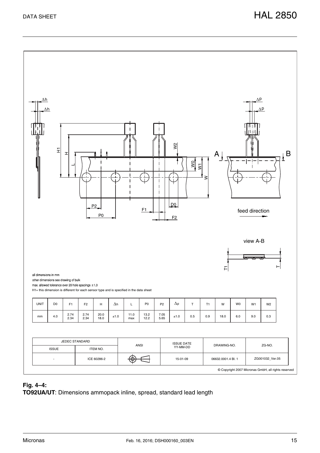

## **Fig. 4–4:**

**TO92UA/UT**: Dimensions ammopack inline, spread, standard lead length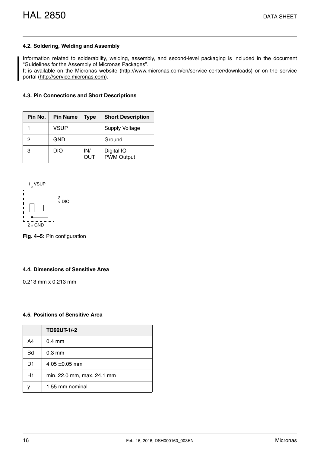## <span id="page-15-0"></span>**4.2. Soldering, Welding and Assembly**

Information related to solderability, welding, assembly, and second-level packaging is included in the document "Guidelines for the Assembly of Micronas Packages".

It is available on the Micronas website (<http://www.micronas.com/en/service-center/downloads>) or on the service portal ([http://service.micronas.com\)](http://service.micronas.com).

#### <span id="page-15-1"></span>**4.3. Pin Connections and Short Descriptions**

| Pin No. | <b>Pin Name</b> | <b>Type</b> | <b>Short Description</b>        |
|---------|-----------------|-------------|---------------------------------|
|         | VSUP            |             | <b>Supply Voltage</b>           |
| 2       | <b>GND</b>      |             | Ground                          |
| 3       | <b>DIO</b>      | IN/<br>OUT  | Digital IO<br><b>PWM Output</b> |



**Fig. 4–5:** Pin configuration

## <span id="page-15-2"></span>**4.4. Dimensions of Sensitive Area**

0.213 mm x 0.213 mm

## <span id="page-15-3"></span>**4.5. Positions of Sensitive Area**

|           | TO92UT-1/-2                |
|-----------|----------------------------|
| A4        | $0.4$ mm                   |
| <b>Bd</b> | $0.3$ mm                   |
| D1        | 4.05 $\pm$ 0.05 mm         |
| H1        | min. 22.0 mm, max. 24.1 mm |
|           | 1.55 mm nominal            |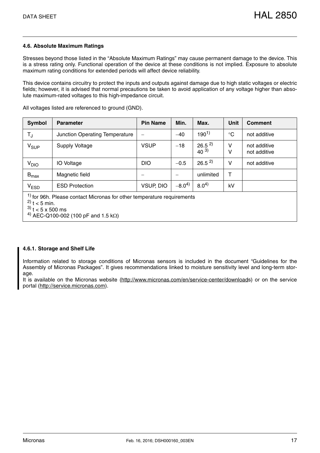## <span id="page-16-0"></span>**4.6. Absolute Maximum Ratings**

Stresses beyond those listed in the "Absolute Maximum Ratings" may cause permanent damage to the device. This is a stress rating only. Functional operation of the device at these conditions is not implied. Exposure to absolute maximum rating conditions for extended periods will affect device reliability.

This device contains circuitry to protect the inputs and outputs against damage due to high static voltages or electric fields; however, it is advised that normal precautions be taken to avoid application of any voltage higher than absolute maximum-rated voltages to this high-impedance circuit.

All voltages listed are referenced to ground (GND).

| Symbol                                                                                                                                                                          | <b>Parameter</b>               | <b>Pin Name</b> | Min.       | Max.                   | Unit            | <b>Comment</b>               |  |
|---------------------------------------------------------------------------------------------------------------------------------------------------------------------------------|--------------------------------|-----------------|------------|------------------------|-----------------|------------------------------|--|
| $\mathsf{T}_{\mathsf{J}}$                                                                                                                                                       | Junction Operating Temperature |                 | $-40$      | $190^{1}$              | $\rm ^{\circ}C$ | not additive                 |  |
| <b>V<sub>SUP</sub></b>                                                                                                                                                          | <b>Supply Voltage</b>          | <b>VSUP</b>     | $-18$      | $26.5^{2}$<br>$40^{3}$ | v<br>v          | not additive<br>not additive |  |
| V <sub>DIO</sub>                                                                                                                                                                | IO Voltage                     | <b>DIO</b>      | $-0.5$     | $26.5^{2}$             | $\vee$          | not additive                 |  |
| $B_{\text{max}}$                                                                                                                                                                | Magnetic field                 |                 |            | unlimited              | $\top$          |                              |  |
| <b>VESD</b>                                                                                                                                                                     | <b>ESD Protection</b>          | VSUP, DIO       | $-8.0^{4}$ | $8.0^{4}$              | kV              |                              |  |
| <sup>1)</sup> for 96h. Please contact Micronas for other temperature requirements<br>$^{2)}$ t < 5 min.<br>$3$ t < 5 x 500 ms<br><sup>4)</sup> AEC-Q100-002 (100 pF and 1.5 kΩ) |                                |                 |            |                        |                 |                              |  |

## <span id="page-16-1"></span>**4.6.1. Storage and Shelf Life**

Information related to storage conditions of Micronas sensors is included in the document "Guidelines for the Assembly of Micronas Packages". It gives recommendations linked to moisture sensitivity level and long-term storage.

It is available on the Micronas website (<http://www.micronas.com/en/service-center/downloads>) or on the service portal ([http://service.micronas.com\)](http://service.micronas.com).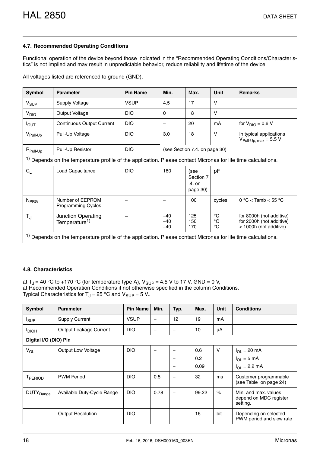## <span id="page-17-2"></span><span id="page-17-0"></span>**4.7. Recommended Operating Conditions**

Functional operation of the device beyond those indicated in the "Recommended Operating Conditions/Characteristics" is not implied and may result in unpredictable behavior, reduce reliability and lifetime of the device.

All voltages listed are referenced to ground (GND).

| Symbol                                                                                                                   | <b>Parameter</b>                                                | <b>Pin Name</b> | Min.                     | Max.                                    | <b>Unit</b>                               | <b>Remarks</b>                                                                 |  |
|--------------------------------------------------------------------------------------------------------------------------|-----------------------------------------------------------------|-----------------|--------------------------|-----------------------------------------|-------------------------------------------|--------------------------------------------------------------------------------|--|
| $V_{SUP}$                                                                                                                | Supply Voltage                                                  | <b>VSUP</b>     | 4.5                      | 17                                      | $\vee$                                    |                                                                                |  |
| V <sub>DIO</sub>                                                                                                         | Output Voltage                                                  | <b>DIO</b>      | $\Omega$                 | 18                                      | $\vee$                                    |                                                                                |  |
| $I_{\text{OUT}}$                                                                                                         | <b>Continuous Output Current</b>                                | <b>DIO</b>      | $\overline{\phantom{0}}$ | 20                                      | mA                                        | for $V_{DIO} = 0.6 V$                                                          |  |
| $V_{\text{pull-Up}}$                                                                                                     | Pull-Up Voltage                                                 | <b>DIO</b>      | 3.0                      | v<br>18                                 |                                           | In typical applications<br>$V_{\text{pull-Up, max}} = 5.5 V$                   |  |
| $R_{\text{pull-Up}}$                                                                                                     | <b>DIO</b><br>Pull-Up Resistor<br>(see Section 7.4. on page 30) |                 |                          |                                         |                                           |                                                                                |  |
| <sup>1)</sup> Depends on the temperature profile of the application. Please contact Micronas for life time calculations. |                                                                 |                 |                          |                                         |                                           |                                                                                |  |
| $C_L$                                                                                                                    | Load Capacitance                                                | <b>DIO</b>      | 180                      | (see<br>Section 7<br>.4. on<br>page 30) | pF                                        |                                                                                |  |
| N <sub>PRG</sub>                                                                                                         | Number of EEPROM<br><b>Programming Cycles</b>                   |                 |                          | 100                                     | cycles                                    | 0 °C < Tamb < $55$ °C                                                          |  |
| $T_{\text{J}}$                                                                                                           | Junction Operating<br>Temperature <sup>1)</sup>                 |                 | $-40$<br>$-40$<br>$-40$  | 125<br>150<br>170                       | $^{\circ}C$<br>$^{\circ}C$<br>$^{\circ}C$ | for 8000h (not additive)<br>for 2000h (not additive)<br>< 1000h (not additive) |  |
| <sup>1)</sup> Depends on the temperature profile of the application. Please contact Micronas for life time calculations. |                                                                 |                 |                          |                                         |                                           |                                                                                |  |

## <span id="page-17-3"></span><span id="page-17-1"></span>**4.8. Characteristics**

at T<sub>J</sub> = 40 °C to +170 °C (for temperature type A), V<sub>SUP</sub> = 4.5 V to 17 V, GND = 0 V, at Recommended Operation Conditions if not otherwise specified in the column Conditions. Typical Characteristics for  $T_J = 25$  °C and  $V_{\text{SUP}} = 5$  V..

| Symbol                | <b>Parameter</b>           | <b>Pin Name</b> | Min.              | Typ.                     | Max.               | <b>Unit</b> | <b>Conditions</b>                                          |
|-----------------------|----------------------------|-----------------|-------------------|--------------------------|--------------------|-------------|------------------------------------------------------------|
| $I_{\text{SUP}}$      | <b>Supply Current</b>      | <b>VSUP</b>     | $\qquad \qquad -$ | 12                       | 19                 | mA          |                                                            |
| <b>I</b> DIOH         | Output Leakage Current     | <b>DIO</b>      | -                 |                          | 10                 | μA          |                                                            |
| Digital I/O (DIO) Pin |                            |                 |                   |                          |                    |             |                                                            |
| $V_{OL}$              | <b>Output Low Voltage</b>  | <b>DIO</b>      |                   | -<br>-                   | 0.6<br>0.2<br>0.09 | $\vee$      | $I_{OL}$ = 20 mA<br>$I_{OL} = 5$ mA<br>$I_{OL} = 2.2$ mA   |
| T <sub>PERIOD</sub>   | <b>PWM Period</b>          | <b>DIO</b>      | 0.5               |                          | 32                 | ms          | Customer programmable<br>(see Table on page 24)            |
| DUTY <sub>Range</sub> | Available Duty-Cycle Range | <b>DIO</b>      | 0.78              | $\overline{\phantom{0}}$ | 99.22              | $\%$        | Min. and max. values<br>depend on MDC register<br>setting. |
|                       | <b>Output Resolution</b>   | <b>DIO</b>      | -                 |                          | 16                 | bit         | Depending on selected<br>PWM period and slew rate          |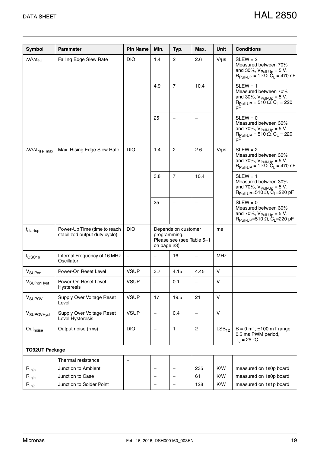| <b>Symbol</b>                   | <b>Parameter</b>                                              | <b>Pin Name</b>          | Min.                                                                            | Typ.                     | Max.              | <b>Unit</b>  | <b>Conditions</b>                                                                                                                                                 |
|---------------------------------|---------------------------------------------------------------|--------------------------|---------------------------------------------------------------------------------|--------------------------|-------------------|--------------|-------------------------------------------------------------------------------------------------------------------------------------------------------------------|
| $\Delta V/\Delta t_{fall}$      | Falling Edge Slew Rate                                        | <b>DIO</b>               | 1.4                                                                             | $\overline{2}$           | 2.6               | $V/\mu s$    | $SLEW = 2$<br>Measured between 70%<br>and 30%, $V_{\text{pull-up}} = 5 V$ ,<br>$R_{\text{pull-UP}} = 1 k\ddot{\Omega}, \ddot{\Omega}_{\text{L}} = 470 \text{ nF}$ |
|                                 |                                                               |                          | 4.9                                                                             | $\overline{7}$           | 10.4              |              | $SLEW = 1$<br>Measured between 70%<br>and 30%, $V_{Pull-Up} = 5 V$ ,<br>$R_{\text{pull-UP}} = 510^{\circ} \tilde{\Omega}$ , $C_{\text{L}} = 220$<br>pF            |
|                                 |                                                               |                          | 25                                                                              |                          |                   |              | $SLEW = 0$<br>Measured between 30%<br>and 70%, $V_{Pull-Up} = 5 V$ ,<br>$R_{\text{pull-UP}} = 510^{\circ} \tilde{\Omega}$ , $C_{\text{L}} = 220$<br>pF            |
| $\Delta V/\Delta t_{rise\_max}$ | Max. Rising Edge Slew Rate                                    | <b>DIO</b>               | 1.4                                                                             | $\overline{c}$           | 2.6               | $V/\mu s$    | $SLEW = 2$<br>Measured between 30%<br>and 70%, $V_{\text{pull-Up}} = 5 \text{ V},$<br>$R_{\text{pull-Up}} = 1 \text{ k}\Omega, C_{\text{L}} = 470 \text{ nF}$     |
|                                 |                                                               |                          | 3.8                                                                             | $\overline{7}$           | 10.4              |              | $SLEW = 1$<br>Measured between 30%<br>and 70%, $V_{Pull-Up} = 5 V$ ,<br>$R_{\text{pull-UP}} = 510 \, \ddot{\Omega}$ , $\ddot{\Omega}$ <sub>L</sub> =220 pF        |
|                                 |                                                               |                          | 25                                                                              |                          |                   |              | $SLEW = 0$<br>Measured between 30%<br>and 70%, $V_{\text{pull-Up}} = 5 V$ ,<br>$R_{\text{pull-Up}} = 510 \Omega$ , $C_{\text{L}} = 220 \text{ pF}$                |
| t <sub>startup</sub>            | Power-Up Time (time to reach<br>stabilized output duty cycle) | <b>DIO</b>               | Depends on customer<br>programming.<br>Please see (see Table 5-1<br>on page 23) |                          |                   | ms           |                                                                                                                                                                   |
| $f$ OSC <sub>16</sub>           | Internal Frequency of 16 MHz<br>Oscillator                    | $\overline{\phantom{a}}$ | $\overline{\phantom{0}}$                                                        | 16                       | $\qquad \qquad -$ | <b>MHz</b>   |                                                                                                                                                                   |
| V <sub>SUPon</sub>              | Power-On Reset Level                                          | <b>VSUP</b>              | 3.7                                                                             | 4.15                     | 4.45              | V            |                                                                                                                                                                   |
| V <sub>SUPonHyst</sub>          | Power-On Reset Level<br>Hysteresis                            | <b>VSUP</b>              |                                                                                 | 0.1                      |                   | V            |                                                                                                                                                                   |
| V <sub>SUPOV</sub>              | Supply Over Voltage Reset<br>Level                            | <b>VSUP</b>              | 17                                                                              | 19.5                     | 21                | $\mathsf{V}$ |                                                                                                                                                                   |
| V <sub>SUPOVHyst</sub>          | Supply Over Voltage Reset<br>Level Hysteresis                 | <b>VSUP</b>              | $\qquad \qquad -$                                                               | 0.4                      | $\qquad \qquad -$ | $\mathsf{V}$ |                                                                                                                                                                   |
| Out <sub>noise</sub>            | Output noise (rms)                                            | <b>DIO</b>               | $\qquad \qquad -$                                                               | 1                        | $\overline{c}$    | $LSB_{12}$   | $B = 0$ mT, $\pm 100$ mT range,<br>0.5 ms PWM period,<br>$T_J = 25 °C$                                                                                            |
| <b>TO92UT Package</b>           |                                                               |                          |                                                                                 |                          |                   |              |                                                                                                                                                                   |
|                                 | Thermal resistance                                            |                          |                                                                                 |                          |                   |              |                                                                                                                                                                   |
| $R_{thja}$                      | Junction to Ambient                                           |                          |                                                                                 | -                        | 235               | K/W          | measured on 1s0p board                                                                                                                                            |
| $R_{thjc}$                      | Junction to Case                                              |                          |                                                                                 | $\overline{\phantom{0}}$ | 61                | K/W          | measured on 1s0p board                                                                                                                                            |
| $\mathsf{R}_{\mathsf{thjs}}$    | Junction to Solder Point                                      |                          | $\overline{\phantom{0}}$                                                        | $\qquad \qquad -$        | 128               | K/W          | measured on 1s1p board                                                                                                                                            |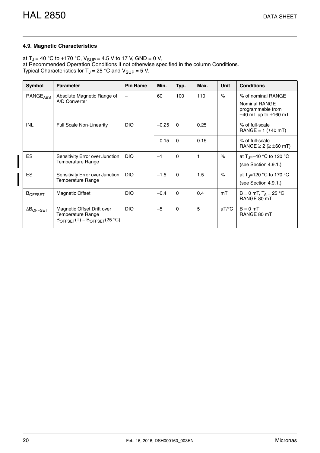## <span id="page-19-1"></span><span id="page-19-0"></span>**4.9. Magnetic Characteristics**

at T<sub>J</sub> = 40 °C to +170 °C, V<sub>SUP</sub> = 4.5 V to 17 V, GND = 0 V, at Recommended Operation Conditions if not otherwise specified in the column Conditions. Typical Characteristics for T<sub>J</sub> = 25 °C and V<sub>SUP</sub> = 5 V.

| Symbol                          | <b>Parameter</b>                                                                 | <b>Pin Name</b>          | Min.    | Typ.         | Max. | <b>Unit</b>          | <b>Conditions</b>                                                                          |
|---------------------------------|----------------------------------------------------------------------------------|--------------------------|---------|--------------|------|----------------------|--------------------------------------------------------------------------------------------|
| $\mathsf{RANGE}_{\mathsf{ABS}}$ | Absolute Magnetic Range of<br>A/D Converter                                      | $\overline{\phantom{m}}$ | 60      | 100          | 110  | $\frac{1}{6}$        | % of nominal RANGE<br>Nominal RANGE<br>programmable from<br>$\pm$ 40 mT up to $\pm$ 160 mT |
| <b>INL</b>                      | <b>Full Scale Non-Linearity</b>                                                  |                          | $-0.25$ | $\mathbf{0}$ | 0.25 |                      | % of full-scale<br>$RANGE = 1 (\pm 40 mT)$                                                 |
|                                 |                                                                                  |                          | $-0.15$ | $\Omega$     | 0.15 |                      | % of full-scale<br>RANGE $\geq$ 2 ( $\geq \pm$ 60 mT)                                      |
| <b>ES</b>                       | Sensitivity Error over Junction<br>Temperature Range                             | DIO.                     | $-1$    | $\Omega$     | 1    | $\frac{1}{\sqrt{2}}$ | at T <sub>J</sub> =-40 °C to 120 °C<br>(see Section 4.9.1.)                                |
| ES.                             | Sensitivity Error over Junction<br><b>Temperature Range</b>                      | <b>DIO</b>               | $-1.5$  | $\Omega$     | 1.5  | $\%$                 | at T <sub>J</sub> =120 °C to 170 °C<br>(see Section 4.9.1.)                                |
| <b>BOFFSET</b>                  | Magnetic Offset                                                                  | <b>DIO</b>               | $-0.4$  | $\Omega$     | 0.4  | mT                   | $B = 0$ mT, T <sub>A</sub> = 25 °C<br>RANGE 80 mT                                          |
| $\Delta B$ OFFSET               | Magnetic Offset Drift over<br>Temperature Range<br>$BOFFSET(T) - BOFFSET(25 °C)$ | <b>DIO</b>               | $-5$    | $\Omega$     | 5    | $\mu$ T/°C           | $B = 0 mT$<br>RANGE 80 mT                                                                  |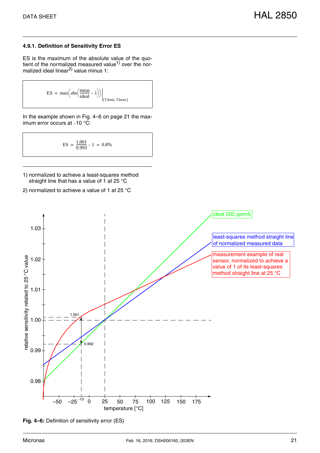## <span id="page-20-0"></span>**4.9.1. Definition of Sensitivity Error ES**

ES is the maximum of the absolute value of the quotient of the normalized measured value<sup>1)</sup> over the normalized ideal linear<sup>2)</sup> value minus 1:

$$
ES = max \left( abs \left( \frac{meas}{ideal} - 1 \right) \right) \Big|_{[TJmin, TJmax]}
$$

In the example shown in [Fig. 4–6 on page 21](#page-20-1) the maximum error occurs at  $-10$  °C:

$$
ES = \frac{1.001}{0.993} - 1 = 0.8\%
$$

- 1) normalized to achieve a least-squares method straight line that has a value of 1 at 25 °C
- 2) normalized to achieve a value of 1 at 25 °C



<span id="page-20-1"></span>**Fig. 4–6:** Definition of sensitivity error (ES)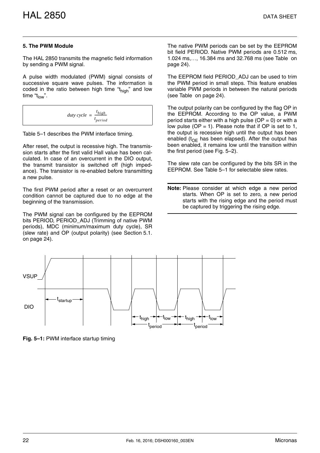## <span id="page-21-0"></span>**5. The PWM Module**

The HAL 2850 transmits the magnetic field information by sending a PWM signal.

A pulse width modulated (PWM) signal consists of successive square wave pulses. The information is coded in the ratio between high time " $t_{\text{hich}}$ " and low time " $t_{low}$ ".

$$
duty cycle = \frac{t_{high}}{t_{period}}
$$

[Table 5–1](#page-22-1) describes the PWM interface timing.

After reset, the output is recessive high. The transmission starts after the first valid Hall value has been calculated. In case of an overcurrent in the DIO output, the transmit transistor is switched off (high impedance). The transistor is re-enabled before transmitting a new pulse.

The first PWM period after a reset or an overcurrent condition cannot be captured due to no edge at the beginning of the transmission.

The PWM signal can be configured by the EEPROM bits PERIOD, PERIOD\_ADJ (Trimming of native PWM periods), MDC (minimum/maximum duty cycle), SR (slew rate) and OP (output polarity) [\(see Section 5.1.](#page-23-0) [on page 24\).](#page-23-0)

The native PWM periods can be set by the EEPROM bit field PERIOD. Native PWM periods are 0.512 ms, 1.024 ms,, 16.384 ms and 32.768 ms [\(see Table on](#page-23-2) [page 24\)](#page-23-2).

The EEPROM field PERIOD\_ADJ can be used to trim the PWM period in small steps. This feature enables variable PWM periods in between the natural periods [\(see Table on page 24\).](#page-23-3)

The output polarity can be configured by the flag OP in the EEPROM. According to the OP value, a PWM period starts either with a high pulse ( $OP = 0$ ) or with a low pulse ( $OP = 1$ ). Please note that if  $OP$  is set to 1, the output is recessive high until the output has been enabled ( $t_{\Omega}$  has been elapsed). After the output has been enabled, it remains low until the transition within the first period [\(see Fig. 5–2\).](#page-22-2)

The slew rate can be configured by the bits SR in the EEPROM. See [Table 5–1](#page-22-1) for selectable slew rates.

**Note:** Please consider at which edge a new period starts. When OP is set to zero, a new period starts with the rising edge and the period must be captured by triggering the rising edge.



<span id="page-21-1"></span>**Fig. 5–1:** PWM interface startup timing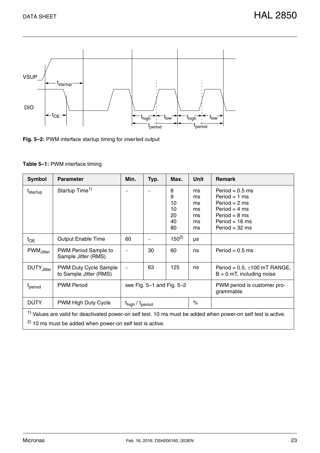

<span id="page-22-2"></span>

<span id="page-22-1"></span><span id="page-22-0"></span>**Table 5–1:** PWM interface timing

| Symbol                                                                                                                                                                                            | <b>Parameter</b>                                | Min.                                    | Typ. | Max.                                 | Unit                                   | <b>Remark</b>                                                                                                                                                                 |
|---------------------------------------------------------------------------------------------------------------------------------------------------------------------------------------------------|-------------------------------------------------|-----------------------------------------|------|--------------------------------------|----------------------------------------|-------------------------------------------------------------------------------------------------------------------------------------------------------------------------------|
| t <sub>startup</sub>                                                                                                                                                                              | Startup Time <sup>1)</sup>                      |                                         |      | 8<br>9<br>10<br>10<br>20<br>40<br>80 | ms<br>ms<br>ms<br>ms<br>ms<br>ms<br>ms | Period = $0.5$ ms<br>Period = $1 \text{ ms}$<br>Period = $2 \text{ ms}$<br>Period = $4 \text{ ms}$<br>Period = $8 \text{ ms}$<br>Period = $16$ ms<br>Period = $32 \text{ ms}$ |
| $t_{OE}$                                                                                                                                                                                          | <b>Output Enable Time</b>                       | 60                                      |      | $150^{2}$                            | μs                                     |                                                                                                                                                                               |
| PWM <sub>Jitter</sub>                                                                                                                                                                             | PWM Period Sample to<br>Sample Jitter (RMS)     |                                         | 30   | 60                                   | ns                                     | Period = $0.5$ ms                                                                                                                                                             |
| DUTY <sub>Jitter</sub>                                                                                                                                                                            | PWM Duty Cycle Sample<br>to Sample Jitter (RMS) |                                         | 63   | 125                                  | ns                                     | Period = $0.5$ , $\pm 100$ mT RANGE,<br>$B = 0$ mT, including noise                                                                                                           |
| t <sub>period</sub>                                                                                                                                                                               | <b>PWM Period</b>                               | see Fig. 5-1 and Fig. 5-2               |      |                                      |                                        | PWM period is customer pro-<br>grammable                                                                                                                                      |
| <b>DUTY</b>                                                                                                                                                                                       | PWM High Duty Cycle                             | t <sub>high</sub> / t <sub>period</sub> |      |                                      |                                        |                                                                                                                                                                               |
| <sup>1)</sup> Values are valid for deactivated power-on self test. 10 ms must be added when power-on self test is active.<br><sup>2)</sup> 10 ms must be added when power-on self test is active. |                                                 |                                         |      |                                      |                                        |                                                                                                                                                                               |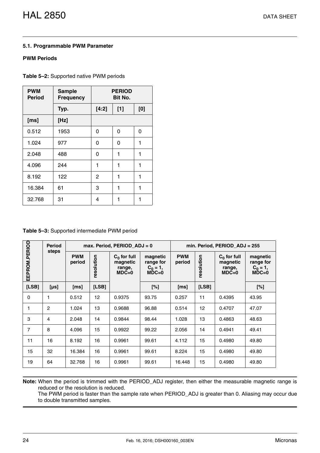## <span id="page-23-0"></span>**5.1. Programmable PWM Parameter**

## <span id="page-23-2"></span><span id="page-23-1"></span>**PWM Periods**

**Table 5–2:** Supported native PWM periods

| <b>PWM</b><br><b>Period</b> | <b>Sample</b><br><b>Frequency</b> | <b>PERIOD</b><br>Bit No. |       |     |
|-----------------------------|-----------------------------------|--------------------------|-------|-----|
|                             | Typ.                              | [4:2]                    | $[1]$ | [0] |
| [ms]                        | [Hz]                              |                          |       |     |
| 0.512                       | 1953                              | 0                        | 0     | 0   |
| 1.024                       | 977                               | 0                        | 0     | 1   |
| 2.048                       | 488                               | 0                        | 1     | 1   |
| 4.096                       | 244                               | 1                        | 1     | 1   |
| 8.192                       | 122                               | 2                        | 1     | 1   |
| 16.384                      | 61                                | 3                        | 1     | 1   |
| 32.768                      | 31                                | 4                        |       |     |

<span id="page-23-3"></span>**Table 5–3:** Supported intermediate PWM period

|               | <b>Period</b>  |                      |            | max. Period, PERIOD $ADJ = 0$                   |                                                 | min. Period, PERIOD_ADJ = 255 |            |                                                 |                                                 |  |
|---------------|----------------|----------------------|------------|-------------------------------------------------|-------------------------------------------------|-------------------------------|------------|-------------------------------------------------|-------------------------------------------------|--|
| EEPROM.PERIOD | steps          | <b>PWM</b><br>period | resolution | $C_0$ for full<br>magnetic<br>range,<br>$MDC=0$ | magnetic<br>range for<br>$C_0 = 1$ ,<br>$MDC=0$ | <b>PWM</b><br>period          | resolution | $C_0$ for full<br>magnetic<br>range,<br>$MDC=0$ | magnetic<br>range for<br>$C_0 = 1$ ,<br>$MDC=0$ |  |
| [LSB]         | [µs]           | [ms]                 | [LSB]      |                                                 | [%]                                             | [ms]                          | [LSB]      |                                                 | [%]                                             |  |
| 0             | 1              | 0.512                | 12         | 0.9375                                          | 93.75                                           | 0.257                         | 11         | 0.4395                                          | 43.95                                           |  |
|               | $\overline{c}$ | 1.024                | 13         | 0.9688                                          | 96.88                                           | 0.514                         | 12         | 0.4707                                          | 47.07                                           |  |
| 3             | $\overline{4}$ | 2.048                | 14         | 0.9844                                          | 98.44                                           | 1.028                         | 13         | 0.4863                                          | 48.63                                           |  |
| 7             | 8              | 4.096                | 15         | 0.9922                                          | 99.22                                           | 2.056                         | 14         | 0.4941                                          | 49.41                                           |  |
| 11            | 16             | 8.192                | 16         | 0.9961                                          | 99.61                                           | 4.112                         | 15         | 0.4980                                          | 49.80                                           |  |
| 15            | 32             | 16.384               | 16         | 0.9961                                          | 99.61                                           | 8.224                         | 15         | 0.4980                                          | 49.80                                           |  |
| 19            | 64             | 32.768               | 16         | 0.9961                                          | 99.61                                           | 16.448                        | 15         | 0.4980                                          | 49.80                                           |  |

**Note:** When the period is trimmed with the PERIOD\_ADJ register, then either the measurable magnetic range is reduced or the resolution is reduced.

The PWM period is faster than the sample rate when PERIOD\_ADJ is greater than 0. Aliasing may occur due to double transmitted samples.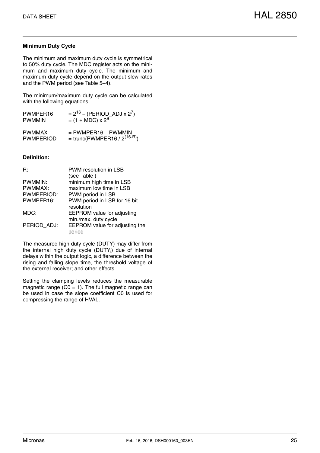## **Minimum Duty Cycle**

The minimum and maximum duty cycle is symmetrical to 50% duty cycle. The MDC register acts on the minimum and maximum duty cycle. The minimum and maximum duty cycle depend on the output slew rates and the PWM period [\(see Table 5–4\)](#page-25-0).

The minimum/maximum duty cycle can be calculated with the following equations:

| PWMPER16         | $= 2^{16} - (PERIOD_ADJ x 2^7)$           |
|------------------|-------------------------------------------|
| <b>PWMMIN</b>    | $= (1 + \overrightarrow{MDC}) \times 2^9$ |
| <b>PWMMAX</b>    | $=$ PWMPER16 – PWMMIN                     |
| <b>PWMPERIOD</b> | = trunc(PWMPER16 / $2^{(16-R)}$ )         |

#### **Definition:**

| B:          | PWM resolution in LSB<br>(see Table) |
|-------------|--------------------------------------|
| PWMMIN:     | minimum high time in LSB             |
| PWMMAX:     | maximum low time in LSB              |
| PWMPERIOD:  | PWM period in LSB                    |
| PWMPER16:   | PWM period in LSB for 16 bit         |
|             | resolution                           |
| MDC:        | <b>EEPROM</b> value for adjusting    |
|             | min./max. duty cycle                 |
| PERIOD ADJ: | EEPROM value for adjusting the       |
|             | period                               |

The measured high duty cycle (DUTY) may differ from the internal high duty cycle (DUTY<sub>i</sub>) due of internal delays within the output logic, a difference between the rising and falling slope time, the threshold voltage of the external receiver; and other effects.

Setting the clamping levels reduces the measurable magnetic range  $(C0 = 1)$ . The full magnetic range can be used in case the slope coefficient C0 is used for compressing the range of HVAL.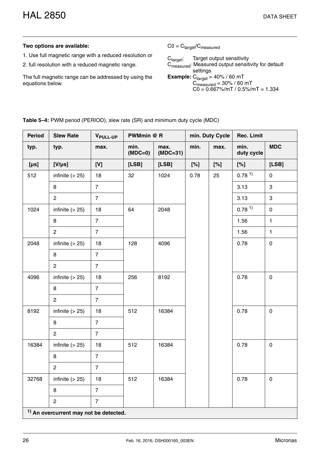[HAL 2850](#page--1-0)

## **Two options are available:**

- 1. Use full magnetic range with a reduced resolution or
- 2. full resolution with a reduced magnetic range.

The full magnetic range can be addressed by using the equations below.

## $CO = C_{target}/C_{measured}$

| $C_{\text{target}}$ | Target output sensitivity<br>C <sub>measured</sub> : Measured output sensitivity for default                                                                   |
|---------------------|----------------------------------------------------------------------------------------------------------------------------------------------------------------|
|                     | settings<br><b>Example:</b> $C_{\text{target}} = 40\% / 60 \text{ mT}$<br>$C_{\text{measured}} = 30\% / 60 \text{ mT}$<br>$CO = 0.667\%/mT / 0.5\%/mT = 1.334$ |

<span id="page-25-0"></span>**Table 5–4:** PWM period (PERIOD), slew rate (SR) and minimum duty cycle (MDC)

| <b>Period</b>                                     | <b>Slew Rate</b>  | V <sub>PULL-UP</sub> | PWMmin @ R        |                    | min. Duty Cycle |      | <b>Rec. Limit</b>    |              |
|---------------------------------------------------|-------------------|----------------------|-------------------|--------------------|-----------------|------|----------------------|--------------|
| typ.                                              | typ.              | max.                 | min.<br>$(MDC=0)$ | max.<br>$(MDC=31)$ | min.            | max. | min.<br>duty cycle   | <b>MDC</b>   |
| $[\mu s]$                                         | $[V/\mu s]$       | [V]                  | [LSB]             | [LSB]              | [%]             | [%]  | [%]                  | [LSB]        |
| 512                                               | infinite $(> 25)$ | 18                   | 32                | 1024               | 0.78            | 25   | $0.78$ <sup>1)</sup> | $\mathbf 0$  |
|                                                   | 8                 | $\overline{7}$       |                   |                    |                 |      | 3.13                 | 3            |
|                                                   | $\overline{2}$    | $\overline{7}$       |                   |                    |                 |      | 3.13                 | 3            |
| 1024                                              | infinite $(> 25)$ | 18                   | 64                | 2048               |                 |      | $0.78$ <sup>1)</sup> | $\pmb{0}$    |
|                                                   | 8                 | $\overline{7}$       |                   |                    |                 |      | 1.56                 | $\mathbf{1}$ |
|                                                   | $\overline{2}$    | $\overline{7}$       |                   |                    |                 |      | 1.56                 | $\mathbf{1}$ |
| 2048                                              | infinite $(> 25)$ | 18                   | 128               | 4096               |                 |      | 0.78                 | $\pmb{0}$    |
|                                                   | 8                 | $\overline{7}$       |                   |                    |                 |      |                      |              |
|                                                   | $\overline{2}$    | $\overline{7}$       |                   |                    |                 |      |                      |              |
| 4096                                              | infinite $(> 25)$ | 18                   | 256               | 8192               |                 |      | 0.78                 | $\pmb{0}$    |
|                                                   | 8                 | $\overline{7}$       |                   |                    |                 |      |                      |              |
|                                                   | $\overline{2}$    | $\overline{7}$       |                   |                    |                 |      |                      |              |
| 8192                                              | infinite $(> 25)$ | 18                   | 512               | 16384              |                 |      | 0.78                 | $\pmb{0}$    |
|                                                   | 8                 | $\overline{7}$       |                   |                    |                 |      |                      |              |
|                                                   | $\overline{2}$    | $\overline{7}$       |                   |                    |                 |      |                      |              |
| 16384                                             | infinite $(> 25)$ | 18                   | 512               | 16384              |                 |      | 0.78                 | $\pmb{0}$    |
|                                                   | 8                 | $\overline{7}$       |                   |                    |                 |      |                      |              |
|                                                   | $\mathbf{2}$      | $\overline{7}$       |                   |                    |                 |      |                      |              |
| 32768                                             | infinite $(> 25)$ | 18                   | 512               | 16384              |                 |      | 0.78                 | $\mathbf 0$  |
|                                                   | 8                 | $\overline{7}$       |                   |                    |                 |      |                      |              |
|                                                   | $\overline{2}$    | $\overline{7}$       |                   |                    |                 |      |                      |              |
| <sup>1)</sup> An overcurrent may not be detected. |                   |                      |                   |                    |                 |      |                      |              |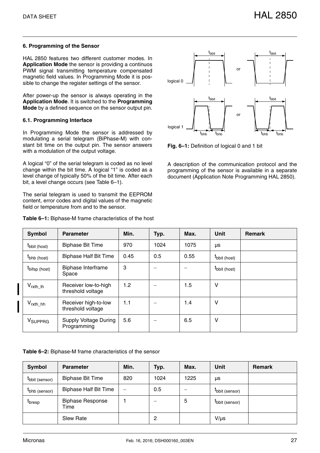## <span id="page-26-0"></span>**6. Programming of the Sensor**

HAL 2850 features two different customer modes. In **Application Mode** the sensor is providing a continuos PWM signal transmitting temperature compensated magnetic field values. In Programming Mode it is possible to change the register settings of the sensor.

After power-up the sensor is always operating in the **Application Mode**. It is switched to the **Programming Mode** by a defined sequence on the sensor output pin.

#### <span id="page-26-1"></span>**6.1. Programming Interface**

In Programming Mode the sensor is addressed by modulating a serial telegram (BiPhase-M) with constant bit time on the output pin. The sensor answers with a modulation of the output voltage.

A logical "0" of the serial telegram is coded as no level change within the bit time. A logical "1" is coded as a level change of typically 50% of the bit time. After each bit, a level change occurs [\(see Table 6–1\)](#page-26-2).

The serial telegram is used to transmit the EEPROM content, error codes and digital values of the magnetic field or temperature from and to the sensor.

<span id="page-26-2"></span>**Table 6–1:** Biphase-M frame characteristics of the host



**Fig. 6–1:** Definition of logical 0 and 1 bit

A description of the communication protocol and the programming of the sensor is available in a separate document (Application Note Programming HAL 2850).

| Symbol                    | <b>Parameter</b>                            | Min. | Typ. | Max. | Unit                     | <b>Remark</b> |
|---------------------------|---------------------------------------------|------|------|------|--------------------------|---------------|
| t <sub>bbit</sub> (host)  | <b>Biphase Bit Time</b>                     | 970  | 1024 | 1075 | μs                       |               |
| $t$ bhb (host)            | <b>Biphase Half Bit Time</b>                | 0.45 | 0.5  | 0.55 | t <sub>bbit</sub> (host) |               |
| <sup>I</sup> bifsp (host) | Biphase Interframe<br>Space                 | 3    |      | -    | t <sub>bbit</sub> (host) |               |
| $V_{rxth_l}$              | Receiver low-to-high<br>threshold voltage   | 1.2  |      | 1.5  | $\vee$                   |               |
| V <sub>rxth_hh</sub>      | Receiver high-to-low<br>threshold voltage   | 1.1  |      | 1.4  | $\vee$                   |               |
| V <sub>SUPPRG</sub>       | <b>Supply Voltage During</b><br>Programming | 5.6  |      | 6.5  | $\vee$                   |               |

**Table 6–2:** Biphase-M frame characteristics of the sensor

| <b>Symbol</b>      | <b>Parameter</b>                | Min. | Typ. | Max. | <b>Unit</b>   | <b>Remark</b> |
|--------------------|---------------------------------|------|------|------|---------------|---------------|
| bbit (sensor)      | <b>Biphase Bit Time</b>         | 820  | 1024 | 1225 | μs            |               |
| thb (sensor)       | <b>Biphase Half Bit Time</b>    |      | 0.5  | –    | bbit (sensor) |               |
| t <sub>bresp</sub> | <b>Biphase Response</b><br>Time |      | -    | 5    | bbit (sensor) |               |
|                    | <b>Slew Rate</b>                |      | 2    |      | $V/\mu s$     |               |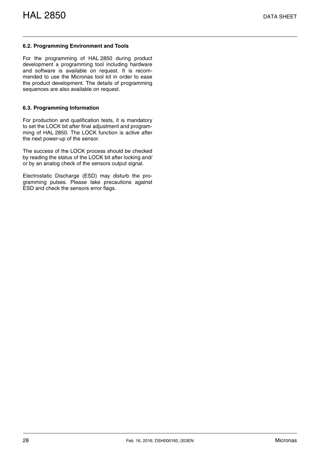## <span id="page-27-0"></span>**6.2. Programming Environment and Tools**

For the programming of HAL 2850 during product development a programming tool including hardware and software is available on request. It is recommended to use the Micronas tool kit in order to ease the product development. The details of programming sequences are also available on request.

#### <span id="page-27-1"></span>**6.3. Programming Information**

For production and qualification tests, it is mandatory to set the LOCK bit after final adjustment and programming of HAL 2850. The LOCK function is active after the next power-up of the sensor.

The success of the LOCK process should be checked by reading the status of the LOCK bit after locking and/ or by an analog check of the sensors output signal.

Electrostatic Discharge (ESD) may disturb the programming pulses. Please take precautions against ESD and check the sensors error flags.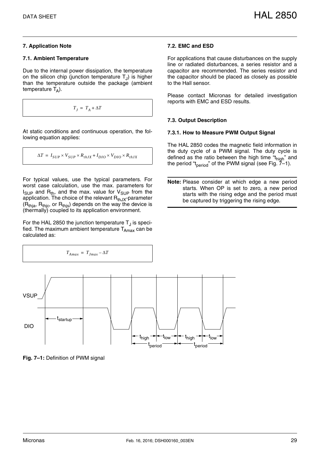## <span id="page-28-0"></span>**7. Application Note**

## <span id="page-28-1"></span>**7.1. Ambient Temperature**

Due to the internal power dissipation, the temperature on the silicon chip (junction temperature  $T_{J}$ ) is higher than the temperature outside the package (ambient temperature  $T_A$ ).

$$
T_J = T_A + \Delta T
$$

At static conditions and continuous operation, the following equation applies:

$$
\Delta T = I_{SUP} \times V_{SUP} \times R_{thJX} + I_{DIO} \times V_{DIO} \times R_{thJX}
$$

For typical values, use the typical parameters. For worst case calculation, use the max. parameters for  $I_{SUP}$  and  $R_{th}$ , and the max. value for  $V_{SUP}$  from the application. The choice of the relevant  $R_{th,JX}$ -parameter  $(R<sub>thia</sub>, R<sub>thic</sub>, or R<sub>this</sub>)$  depends on the way the device is (thermally) coupled to its application environment.

For the HAL 2850 the junction temperature  $T_{\text{J}}$  is specified. The maximum ambient temperature  $T_{Amax}$  can be calculated as:

$$
T_{Amax} = T_{Jmax} - \Delta T
$$

## <span id="page-28-2"></span>**7.2. EMC and ESD**

For applications that cause disturbances on the supply line or radiated disturbances, a series resistor and a capacitor are recommended. The series resistor and the capacitor should be placed as closely as possible to the Hall sensor.

Please contact Micronas for detailed investigation reports with EMC and ESD results.

## <span id="page-28-3"></span>**7.3. Output Description**

## <span id="page-28-4"></span>**7.3.1. How to Measure PWM Output Signal**

The HAL 2850 codes the magnetic field information in the duty cycle of a PWM signal. The duty cycle is defined as the ratio between the high time " $t_{\text{hich}}$ " and the period "t<sub>period</sub>" of the PWM signal (see Fig.  $\overline{7}$ -1).

**Note:** Please consider at which edge a new period starts. When OP is set to zero, a new period starts with the rising edge and the period must be captured by triggering the rising edge.



<span id="page-28-5"></span>**Fig. 7–1:** Definition of PWM signal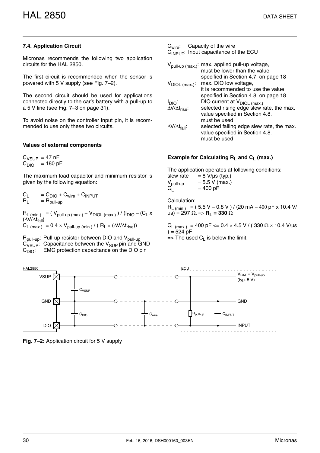## <span id="page-29-1"></span><span id="page-29-0"></span>**7.4. Application Circuit**

Micronas recommends the following two application circuits for the HAL 2850.

The first circuit is recommended when the sensor is powered with 5 V supply [\(see Fig. 7–2\).](#page-29-2)

The second circuit should be used for applications connected directly to the car's battery with a pull-up to a 5 V line [\(see Fig. 7–3 on page 31\)](#page-30-0).

To avoid noise on the controller input pin, it is recommended to use only these two circuits.

## **Values of external components**

 $C_{VSUP}$  = 47 nF  $C<sub>DIO</sub>$  = 180 pF

The maximum load capacitor and minimum resistor is given by the following equation:

 $C_L$  =  $C_{DIO}$  +  $C_{wire}$  +  $C_{INPUT}$ <br> $R_L$  =  $R_{null-UD}$  $= R_{\text{null-UD}}$ 

 $R_{\text{L (min.)}} = (\text{ V}_{\text{pull-up (max.)}} - \text{ V}_{\text{DIOL (max.)}}) / (\text{I}_{\text{DIO}} - (\text{C}_{\text{L}} \times$  $(\Delta V/\Delta t_{fall})$  $C_{L \text{ (max.)}} = 0.4 \times V_{\text{pull-up (min.)}} / (R_{L} \times (\Delta V/\Delta t_{\text{rise}}))$ 

R<sub>pull-up</sub>: Pull-up resistor between DIO and V<sub>pull-up</sub> C<sub>VSUP</sub>: Capacitance between the V<sub>SUP</sub> pin and GND  $C<sub>DIO</sub>$ : EMC protection capacitance on the DIO pin

C<sub>wire</sub>: Capacity of the wire  $C_{\text{INPIIT}}$ : Input capacitance of the ECU

|                              | V <sub>pull-up (max.)</sub> : max. applied pull-up voltage, |
|------------------------------|-------------------------------------------------------------|
|                              | must be lower than the value                                |
|                              | specified in Section 4.7. on page 18                        |
| $V_{DIOL (max.)}$ :          | max. DIO low voltage,                                       |
|                              | it is recommended to use the value                          |
|                              | specified in Section 4.8. on page 18                        |
| $I_{\text{DIO}}$             | DIO current at $V_{DIOL \ (max.)}$                          |
| $\Delta V/\Delta t_{rise}$   | selected rising edge slew rate, the max.                    |
|                              | value specified in Section 4.8.                             |
|                              | must be used                                                |
| $\Delta V/\Delta t_{fall}$ : | selected falling edge slew rate, the max.                   |
|                              | value specified in Section 4.8.                             |
|                              | must be used                                                |

## **Example for Calculating**  $R_1$  **and**  $C_1$  **(max.)**

The application operates at following conditions:

slew rate  $= 8 \text{ V/}\mu\text{s}$  (typ.)  $V_{\text{pull-up}}$  = 5.5 V (max.)<br>C<sub>1</sub> = 400 pF  $= 400$  pF

Calculation:

 $R_{L (min.)}$  = ( 5.5 V – 0.8 V ) / (20 mA – 400 pF x 10.4 V/  $\mu$ s) = 297  $\Omega$ . => **R<sub>L</sub> = 330**  $\Omega$ 

 $\textsf{C}_\textsf{L\ (max.)}~$  = 400 pF <= 0.4  $\times$  4.5 V / ( 330  $\Omega$   $\times$  10.4 V/µs ) = 524 pF

 $\Rightarrow$  The used C<sub>L</sub> is below the limit.



<span id="page-29-2"></span>**Fig. 7–2:** Application circuit for 5 V supply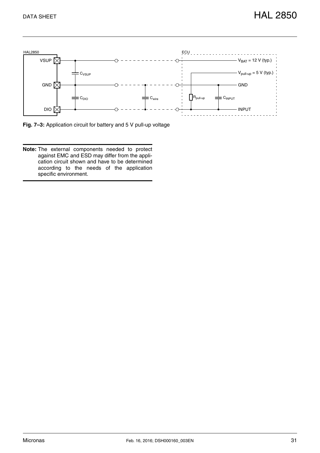

<span id="page-30-0"></span>**Fig. 7–3:** Application circuit for battery and 5 V pull-up voltage

**Note:** The external components needed to protect against EMC and ESD may differ from the application circuit shown and have to be determined according to the needs of the application specific environment.